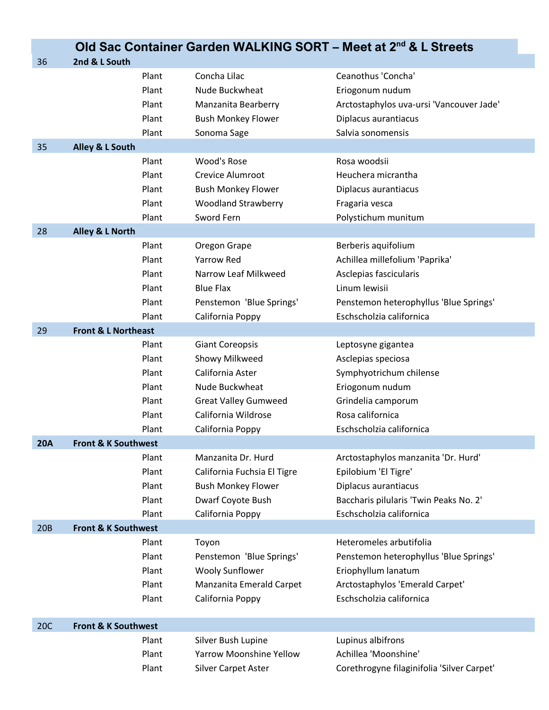|            | Old Sac Container Garden WALKING SORT - Meet at 2nd & L Streets |       |                                |                                            |  |  |
|------------|-----------------------------------------------------------------|-------|--------------------------------|--------------------------------------------|--|--|
| 36         | 2nd & L South                                                   |       |                                |                                            |  |  |
|            |                                                                 | Plant | Concha Lilac                   | Ceanothus 'Concha'                         |  |  |
|            |                                                                 | Plant | Nude Buckwheat                 | Eriogonum nudum                            |  |  |
|            |                                                                 | Plant | Manzanita Bearberry            | Arctostaphylos uva-ursi 'Vancouver Jade'   |  |  |
|            |                                                                 | Plant | <b>Bush Monkey Flower</b>      | Diplacus aurantiacus                       |  |  |
|            |                                                                 | Plant | Sonoma Sage                    | Salvia sonomensis                          |  |  |
| 35         | Alley & L South                                                 |       |                                |                                            |  |  |
|            |                                                                 | Plant | Wood's Rose                    | Rosa woodsii                               |  |  |
|            |                                                                 | Plant | Crevice Alumroot               | Heuchera micrantha                         |  |  |
|            |                                                                 | Plant | <b>Bush Monkey Flower</b>      | Diplacus aurantiacus                       |  |  |
|            |                                                                 | Plant | <b>Woodland Strawberry</b>     | Fragaria vesca                             |  |  |
|            |                                                                 | Plant | Sword Fern                     | Polystichum munitum                        |  |  |
| 28         | Alley & L North                                                 |       |                                |                                            |  |  |
|            |                                                                 | Plant | Oregon Grape                   | Berberis aquifolium                        |  |  |
|            |                                                                 | Plant | <b>Yarrow Red</b>              | Achillea millefolium 'Paprika'             |  |  |
|            |                                                                 | Plant | Narrow Leaf Milkweed           | Asclepias fascicularis                     |  |  |
|            |                                                                 | Plant | <b>Blue Flax</b>               | Linum lewisii                              |  |  |
|            |                                                                 | Plant | Penstemon 'Blue Springs'       | Penstemon heterophyllus 'Blue Springs'     |  |  |
|            |                                                                 | Plant | California Poppy               | Eschscholzia californica                   |  |  |
| 29         | <b>Front &amp; L Northeast</b>                                  |       |                                |                                            |  |  |
|            |                                                                 | Plant | <b>Giant Coreopsis</b>         | Leptosyne gigantea                         |  |  |
|            |                                                                 | Plant | Showy Milkweed                 | Asclepias speciosa                         |  |  |
|            |                                                                 | Plant | California Aster               | Symphyotrichum chilense                    |  |  |
|            |                                                                 | Plant | Nude Buckwheat                 | Eriogonum nudum                            |  |  |
|            |                                                                 | Plant | <b>Great Valley Gumweed</b>    | Grindelia camporum                         |  |  |
|            |                                                                 | Plant | California Wildrose            | Rosa californica                           |  |  |
|            |                                                                 | Plant | California Poppy               | Eschscholzia californica                   |  |  |
| 20A        | <b>Front &amp; K Southwest</b>                                  |       |                                |                                            |  |  |
|            |                                                                 | Plant | Manzanita Dr. Hurd             | Arctostaphylos manzanita 'Dr. Hurd'        |  |  |
|            |                                                                 | Plant | California Fuchsia El Tigre    | Epilobium 'El Tigre'                       |  |  |
|            |                                                                 | Plant | <b>Bush Monkey Flower</b>      | Diplacus aurantiacus                       |  |  |
|            |                                                                 | Plant | Dwarf Coyote Bush              | Baccharis pilularis 'Twin Peaks No. 2'     |  |  |
|            |                                                                 | Plant | California Poppy               | Eschscholzia californica                   |  |  |
| 20B        | <b>Front &amp; K Southwest</b>                                  |       |                                |                                            |  |  |
|            |                                                                 | Plant | Toyon                          | Heteromeles arbutifolia                    |  |  |
|            |                                                                 | Plant | Penstemon 'Blue Springs'       | Penstemon heterophyllus 'Blue Springs'     |  |  |
|            |                                                                 | Plant | <b>Wooly Sunflower</b>         | Eriophyllum lanatum                        |  |  |
|            |                                                                 | Plant | Manzanita Emerald Carpet       | Arctostaphylos 'Emerald Carpet'            |  |  |
|            |                                                                 | Plant | California Poppy               | Eschscholzia californica                   |  |  |
| <b>20C</b> | <b>Front &amp; K Southwest</b>                                  |       |                                |                                            |  |  |
|            |                                                                 | Plant | Silver Bush Lupine             | Lupinus albifrons                          |  |  |
|            |                                                                 | Plant | <b>Yarrow Moonshine Yellow</b> | Achillea 'Moonshine'                       |  |  |
|            |                                                                 | Plant | <b>Silver Carpet Aster</b>     | Corethrogyne filaginifolia 'Silver Carpet' |  |  |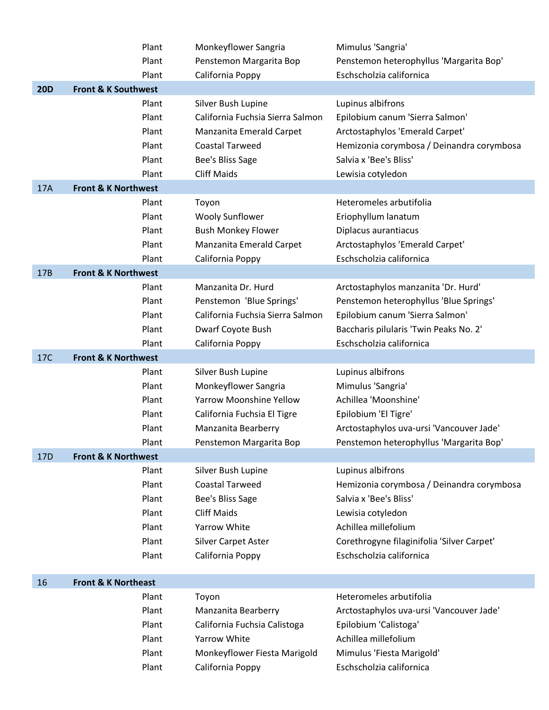|                 | Plant                          | Monkeyflower Sangria             | Mimulus 'Sangria'                          |
|-----------------|--------------------------------|----------------------------------|--------------------------------------------|
|                 | Plant                          | Penstemon Margarita Bop          | Penstemon heterophyllus 'Margarita Bop'    |
|                 | Plant                          | California Poppy                 | Eschscholzia californica                   |
| <b>20D</b>      | <b>Front &amp; K Southwest</b> |                                  |                                            |
|                 | Plant                          | Silver Bush Lupine               | Lupinus albifrons                          |
|                 | Plant                          | California Fuchsia Sierra Salmon | Epilobium canum 'Sierra Salmon'            |
|                 | Plant                          | Manzanita Emerald Carpet         | Arctostaphylos 'Emerald Carpet'            |
|                 | Plant                          | <b>Coastal Tarweed</b>           | Hemizonia corymbosa / Deinandra corymbosa  |
|                 | Plant                          | Bee's Bliss Sage                 | Salvia x 'Bee's Bliss'                     |
|                 | Plant                          | <b>Cliff Maids</b>               | Lewisia cotyledon                          |
| 17A             | <b>Front &amp; K Northwest</b> |                                  |                                            |
|                 | Plant                          | Toyon                            | Heteromeles arbutifolia                    |
|                 | Plant                          | <b>Wooly Sunflower</b>           | Eriophyllum lanatum                        |
|                 | Plant                          | <b>Bush Monkey Flower</b>        | Diplacus aurantiacus                       |
|                 | Plant                          | Manzanita Emerald Carpet         | Arctostaphylos 'Emerald Carpet'            |
|                 | Plant                          | California Poppy                 | Eschscholzia californica                   |
| 17B             | <b>Front &amp; K Northwest</b> |                                  |                                            |
|                 | Plant                          | Manzanita Dr. Hurd               | Arctostaphylos manzanita 'Dr. Hurd'        |
|                 | Plant                          | Penstemon 'Blue Springs'         | Penstemon heterophyllus 'Blue Springs'     |
|                 | Plant                          | California Fuchsia Sierra Salmon | Epilobium canum 'Sierra Salmon'            |
|                 | Plant                          | Dwarf Coyote Bush                | Baccharis pilularis 'Twin Peaks No. 2'     |
|                 | Plant                          | California Poppy                 | Eschscholzia californica                   |
| 17C             | <b>Front &amp; K Northwest</b> |                                  |                                            |
|                 | Plant                          | Silver Bush Lupine               | Lupinus albifrons                          |
|                 | Plant                          | Monkeyflower Sangria             | Mimulus 'Sangria'                          |
|                 | Plant                          | <b>Yarrow Moonshine Yellow</b>   | Achillea 'Moonshine'                       |
|                 | Plant                          | California Fuchsia El Tigre      | Epilobium 'El Tigre'                       |
|                 | Plant                          | Manzanita Bearberry              | Arctostaphylos uva-ursi 'Vancouver Jade'   |
|                 | Plant                          | Penstemon Margarita Bop          | Penstemon heterophyllus 'Margarita Bop'    |
| 17 <sub>D</sub> | <b>Front &amp; K Northwest</b> |                                  |                                            |
|                 | Plant                          | Silver Bush Lupine               | Lupinus albifrons                          |
|                 | Plant                          | <b>Coastal Tarweed</b>           | Hemizonia corymbosa / Deinandra corymbosa  |
|                 | Plant                          | Bee's Bliss Sage                 | Salvia x 'Bee's Bliss'                     |
|                 | Plant                          | <b>Cliff Maids</b>               | Lewisia cotyledon                          |
|                 | Plant                          | Yarrow White                     | Achillea millefolium                       |
|                 | Plant                          | <b>Silver Carpet Aster</b>       | Corethrogyne filaginifolia 'Silver Carpet' |
|                 | Plant                          | California Poppy                 | Eschscholzia californica                   |
|                 |                                |                                  |                                            |
| 16              | <b>Front &amp; K Northeast</b> |                                  |                                            |
|                 | Plant                          | Toyon                            | Heteromeles arbutifolia                    |
|                 | Plant                          | Manzanita Bearberry              | Arctostaphylos uva-ursi 'Vancouver Jade'   |
|                 | Plant                          | California Fuchsia Calistoga     | Epilobium 'Calistoga'                      |
|                 | Plant                          | Yarrow White                     | Achillea millefolium                       |
|                 | Plant                          | Monkeyflower Fiesta Marigold     | Mimulus 'Fiesta Marigold'                  |
|                 | Plant                          | California Poppy                 | Eschscholzia californica                   |